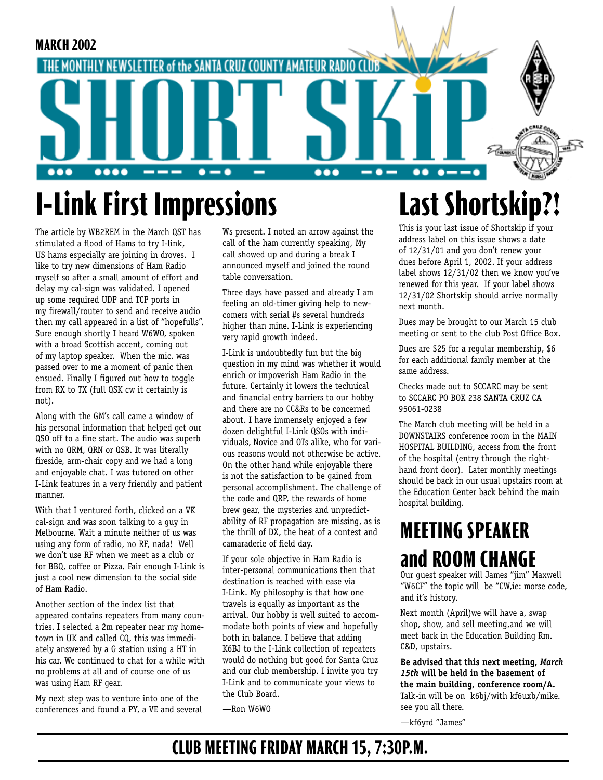

# **I-Link First Impressions**

The article by WB2REM in the March QST has stimulated a flood of Hams to try I-link, US hams especially are joining in droves. I like to try new dimensions of Ham Radio myself so after a small amount of effort and delay my cal-sign was validated. I opened up some required UDP and TCP ports in my firewall/router to send and receive audio then my call appeared in a list of "hopefulls". Sure enough shortly I heard W6WO, spoken with a broad Scottish accent, coming out of my laptop speaker. When the mic. was passed over to me a moment of panic then ensued. Finally I figured out how to toggle from RX to TX (full QSK cw it certainly is not).

Along with the GM's call came a window of his personal information that helped get our QSO off to a fine start. The audio was superb with no QRM, QRN or QSB. It was literally fireside, arm-chair copy and we had a long and enjoyable chat. I was tutored on other I-Link features in a very friendly and patient manner.

With that I ventured forth, clicked on a VK cal-sign and was soon talking to a guy in Melbourne. Wait a minute neither of us was using any form of radio, no RF, nada! Well we don't use RF when we meet as a club or for BBQ, coffee or Pizza. Fair enough I-Link is just a cool new dimension to the social side of Ham Radio.

Another section of the index list that appeared contains repeaters from many countries. I selected a 2m repeater near my hometown in UK and called CQ, this was immediately answered by a G station using a HT in his car. We continued to chat for a while with no problems at all and of course one of us was using Ham RF gear.

My next step was to venture into one of the conferences and found a PY, a VE and several

Ws present. I noted an arrow against the call of the ham currently speaking, My call showed up and during a break I announced myself and joined the round table conversation.

Three days have passed and already I am feeling an old-timer giving help to newcomers with serial #s several hundreds higher than mine. I-Link is experiencing very rapid growth indeed.

I-Link is undoubtedly fun but the big question in my mind was whether it would enrich or impoverish Ham Radio in the future. Certainly it lowers the technical and financial entry barriers to our hobby and there are no CC&Rs to be concerned about. I have immensely enjoyed a few dozen delightful I-Link QSOs with individuals, Novice and OTs alike, who for various reasons would not otherwise be active. On the other hand while enjoyable there is not the satisfaction to be gained from personal accomplishment. The challenge of the code and QRP, the rewards of home brew gear, the mysteries and unpredictability of RF propagation are missing, as is the thrill of DX, the heat of a contest and camaraderie of field day.

If your sole objective in Ham Radio is inter-personal communications then that destination is reached with ease via I-Link. My philosophy is that how one travels is equally as important as the arrival. Our hobby is well suited to accommodate both points of view and hopefully both in balance. I believe that adding K6BJ to the I-Link collection of repeaters would do nothing but good for Santa Cruz and our club membership. I invite you try I-Link and to communicate your views to the Club Board.

—Ron W6WO

## **Last Shortskip?!**

This is your last issue of Shortskip if your address label on this issue shows a date of 12/31/01 and you don't renew your dues before April 1, 2002. If your address label shows 12/31/02 then we know you've renewed for this year. If your label shows 12/31/02 Shortskip should arrive normally next month.

Dues may be brought to our March 15 club meeting or sent to the club Post Office Box.

Dues are \$25 for a regular membership, \$6 for each additional family member at the same address.

Checks made out to SCCARC may be sent to SCCARC PO BOX 238 SANTA CRUZ CA 95061-0238

The March club meeting will be held in a DOWNSTAIRS conference room in the MAIN HOSPITAL BUILDING, access from the front of the hospital (entry through the righthand front door). Later monthly meetings should be back in our usual upstairs room at the Education Center back behind the main hospital building.

## **MEETING SPEAKER and ROOM CHANGE**

Our guest speaker will James "jim" Maxwell "W6CF" the topic will be "CW,ie: morse code, and it's history.

Next month (April)we will have a, swap shop, show, and sell meeting,and we will meet back in the Education Building Rm. C&D, upstairs.

**Be advised that this next meeting,** *March 15th* **will be held in the basement of the main building, conference room/A.** Talk-in will be on k6bj/with kf6uxb/mike. see you all there.

—kf6yrd "James"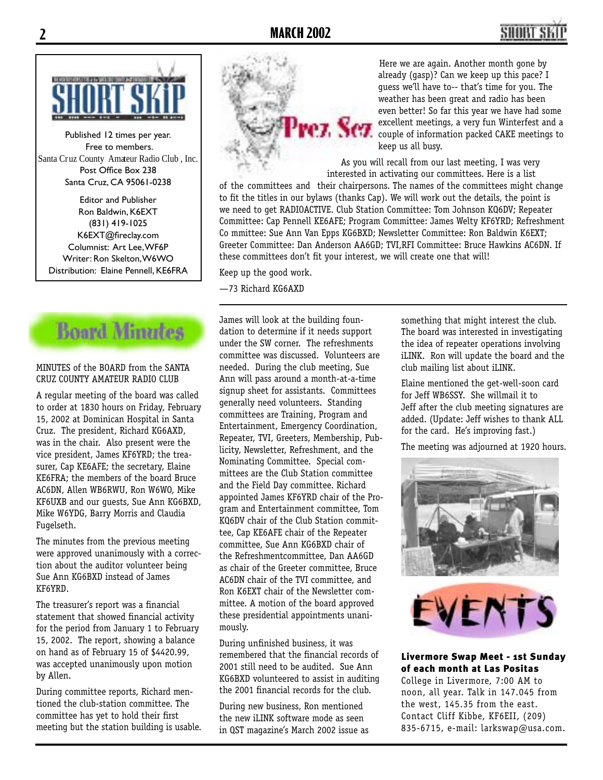



Published 12 times per year. Free to members. Santa Cruz County Amateur Radio Club , Inc. Post Office Box 238 Santa Cruz, CA 95061-0238

Editor and Publisher Ron Baldwin, K6EXT (831) 419-1025 K6EXT@fireclay.com Columnist: Art Lee, WF6P Writer: Ron Skelton, W6WO Distribution: Elaine Pennell, KE6FRA



#### MINUTES of the BOARD from the SANTA CRUZ COUNTY AMATEUR RADIO CLUB

A regular meeting of the board was called to order at 1830 hours on Friday, February 15, 2002 at Dominican Hospital in Santa Cruz. The president, Richard KG6AXD, was in the chair. Also present were the vice president, James KF6YRD; the treasurer, Cap KE6AFE; the secretary, Elaine KE6FRA; the members of the board Bruce AC6DN, Allen WB6RWU, Ron W6WO, Mike KF6UXB and our guests, Sue Ann KG6BXD, Mike W6YDG, Barry Morris and Claudia Fugelseth.

The minutes from the previous meeting were approved unanimously with a correction about the auditor volunteer being Sue Ann KG6BXD instead of James KF6YRD.

The treasurer's report was a financial statement that showed financial activity for the period from January 1 to February 15, 2002. The report, showing a balance on hand as of February 15 of \$4420.99, was accepted unanimously upon motion by Allen.

During committee reports, Richard mentioned the club-station committee. The committee has yet to hold their first meeting but the station building is usable.



Here we are again. Another month gone by already (gasp)? Can we keep up this pace? I guess we'll have to-- that's time for you. The weather has been great and radio has been even better! So far this year we have had some excellent meetings, a very fun Winterfest and a couple of information packed CAKE meetings to keep us all busy.

As you will recall from our last meeting, I was very interested in activating our committees. Here is a list

of the committees and their chairpersons. The names of the committees might change to fit the titles in our bylaws (thanks Cap). We will work out the details, the point is we need to get RADIOACTIVE. Club Station Committee: Tom Johnson KQ6DV; Repeater Committee: Cap Pennell KE6AFE; Program Committee: James Welty KF6YRD; Refreshment Co mmittee: Sue Ann Van Epps KG6BXD; Newsletter Committee: Ron Baldwin K6EXT; Greeter Committee: Dan Anderson AA6GD; TVI,RFI Committee: Bruce Hawkins AC6DN. If these committees don't fit your interest, we will create one that will!

Keep up the good work.

—73 Richard KG6AXD

James will look at the building foundation to determine if it needs support under the SW corner. The refreshments committee was discussed. Volunteers are needed. During the club meeting, Sue Ann will pass around a month-at-a-time signup sheet for assistants. Committees generally need volunteers. Standing committees are Training, Program and Entertainment, Emergency Coordination, Repeater, TVI, Greeters, Membership, Publicity, Newsletter, Refreshment, and the Nominating Committee. Special committees are the Club Station committee and the Field Day committee. Richard appointed James KF6YRD chair of the Program and Entertainment committee, Tom KQ6DV chair of the Club Station committee, Cap KE6AFE chair of the Repeater committee, Sue Ann KG6BXD chair of the Refreshmentcommittee, Dan AA6GD as chair of the Greeter committee, Bruce AC6DN chair of the TVI committee, and Ron K6EXT chair of the Newsletter committee. A motion of the board approved these presidential appointments unanimously.

During unfinished business, it was remembered that the financial records of 2001 still need to be audited. Sue Ann KG6BXD volunteered to assist in auditing the 2001 financial records for the club.

During new business, Ron mentioned the new iLINK software mode as seen in QST magazine's March 2002 issue as

something that might interest the club. The board was interested in investigating the idea of repeater operations involving iLINK. Ron will update the board and the club mailing list about iLINK.

Elaine mentioned the get-well-soon card for Jeff WB6SSY. She willmail it to Jeff after the club meeting signatures are added. (Update: Jeff wishes to thank ALL for the card. He's improving fast.)

The meeting was adjourned at 1920 hours.





Livermore Swap Meet - 1st Sunday of each month at Las Positas

College in Livermore, 7:00 AM to noon, all year. Talk in 147.045 from the west, 145.35 from the east. Contact Cliff Kibbe, KF6EII, (209) 835-6715, e-mail: larkswap@usa.com.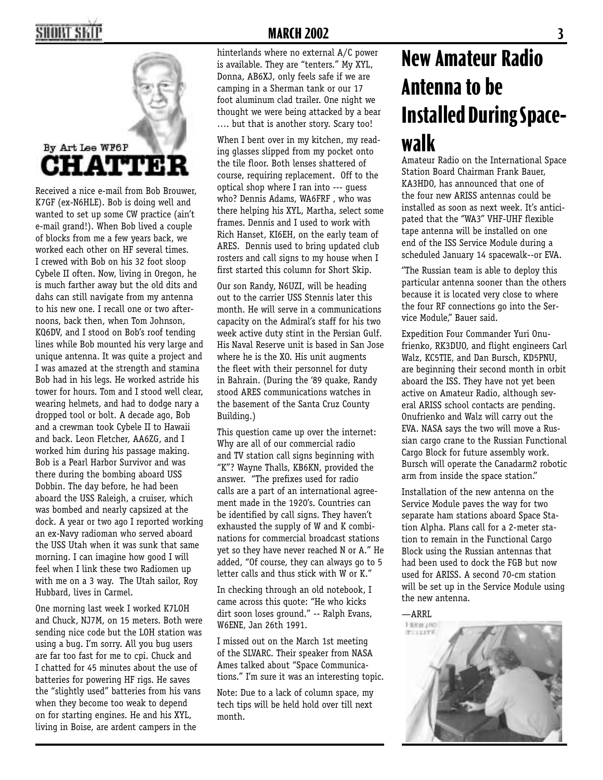#### SHORT SKII



Received a nice e-mail from Bob Brouwer, K7GF (ex-N6HLE). Bob is doing well and wanted to set up some CW practice (ain't e-mail grand!). When Bob lived a couple of blocks from me a few years back, we worked each other on HF several times. I crewed with Bob on his 32 foot sloop Cybele II often. Now, living in Oregon, he is much farther away but the old dits and dahs can still navigate from my antenna to his new one. I recall one or two afternoons, back then, when Tom Johnson, KQ6DV, and I stood on Bob's roof tending lines while Bob mounted his very large and unique antenna. It was quite a project and I was amazed at the strength and stamina Bob had in his legs. He worked astride his tower for hours. Tom and I stood well clear, wearing helmets, and had to dodge nary a dropped tool or bolt. A decade ago, Bob and a crewman took Cybele II to Hawaii and back. Leon Fletcher, AA6ZG, and I worked him during his passage making. Bob is a Pearl Harbor Survivor and was there during the bombing aboard USS Dobbin. The day before, he had been aboard the USS Raleigh, a cruiser, which was bombed and nearly capsized at the dock. A year or two ago I reported working an ex-Navy radioman who served aboard the USS Utah when it was sunk that same morning. I can imagine how good I will feel when I link these two Radiomen up with me on a 3 way. The Utah sailor, Roy Hubbard, lives in Carmel.

One morning last week I worked K7LOH and Chuck, NJ7M, on 15 meters. Both were sending nice code but the LOH station was using a bug. I'm sorry. All you bug users are far too fast for me to cpi. Chuck and I chatted for 45 minutes about the use of batteries for powering HF rigs. He saves the "slightly used" batteries from his vans when they become too weak to depend on for starting engines. He and his XYL, living in Boise, are ardent campers in the

#### **MARCH 2002 3**

hinterlands where no external A/C power is available. They are "tenters." My XYL, Donna, AB6XJ, only feels safe if we are camping in a Sherman tank or our 17 foot aluminum clad trailer. One night we thought we were being attacked by a bear …. but that is another story. Scary too!

When I bent over in my kitchen, my reading glasses slipped from my pocket onto the tile floor. Both lenses shattered of course, requiring replacement. Off to the optical shop where I ran into --- guess who? Dennis Adams, WA6FRF , who was there helping his XYL, Martha, select some frames. Dennis and I used to work with Rich Hanset, KI6EH, on the early team of ARES. Dennis used to bring updated club rosters and call signs to my house when I first started this column for Short Skip.

Our son Randy, N6UZI, will be heading out to the carrier USS Stennis later this month. He will serve in a communications capacity on the Admiral's staff for his two week active duty stint in the Persian Gulf. His Naval Reserve unit is based in San Jose where he is the XO. His unit augments the fleet with their personnel for duty in Bahrain. (During the '89 quake, Randy stood ARES communications watches in the basement of the Santa Cruz County Building.)

This question came up over the internet: Why are all of our commercial radio and TV station call signs beginning with "K"? Wayne Thalls, KB6KN, provided the answer. "The prefixes used for radio calls are a part of an international agreement made in the 1920's. Countries can be identified by call signs. They haven't exhausted the supply of W and K combinations for commercial broadcast stations yet so they have never reached N or A." He added, "Of course, they can always go to 5 letter calls and thus stick with W or K."

In checking through an old notebook, I came across this quote: "He who kicks dirt soon loses ground." -- Ralph Evans, W6ENE, Jan 26th 1991.

I missed out on the March 1st meeting of the SLVARC. Their speaker from NASA Ames talked about "Space Communications." I'm sure it was an interesting topic.

Note: Due to a lack of column space, my tech tips will be held hold over till next month.

## **New Amateur Radio Antenna to be Installed During Spacewalk**

Amateur Radio on the International Space Station Board Chairman Frank Bauer, KA3HDO, has announced that one of the four new ARISS antennas could be installed as soon as next week. It's anticipated that the ''WA3'' VHF-UHF flexible tape antenna will be installed on one end of the ISS Service Module during a scheduled January 14 spacewalk--or EVA.

''The Russian team is able to deploy this particular antenna sooner than the others because it is located very close to where the four RF connections go into the Service Module,'' Bauer said.

Expedition Four Commander Yuri Onufrienko, RK3DUO, and flight engineers Carl Walz, KC5TIE, and Dan Bursch, KD5PNU, are beginning their second month in orbit aboard the ISS. They have not yet been active on Amateur Radio, although several ARISS school contacts are pending. Onufrienko and Walz will carry out the EVA. NASA says the two will move a Russian cargo crane to the Russian Functional Cargo Block for future assembly work. Bursch will operate the Canadarm2 robotic arm from inside the space station.''

Installation of the new antenna on the Service Module paves the way for two separate ham stations aboard Space Station Alpha. Plans call for a 2-meter station to remain in the Functional Cargo Block using the Russian antennas that had been used to dock the FGB but now used for ARISS. A second 70-cm station will be set up in the Service Module using the new antenna.

—ARRL

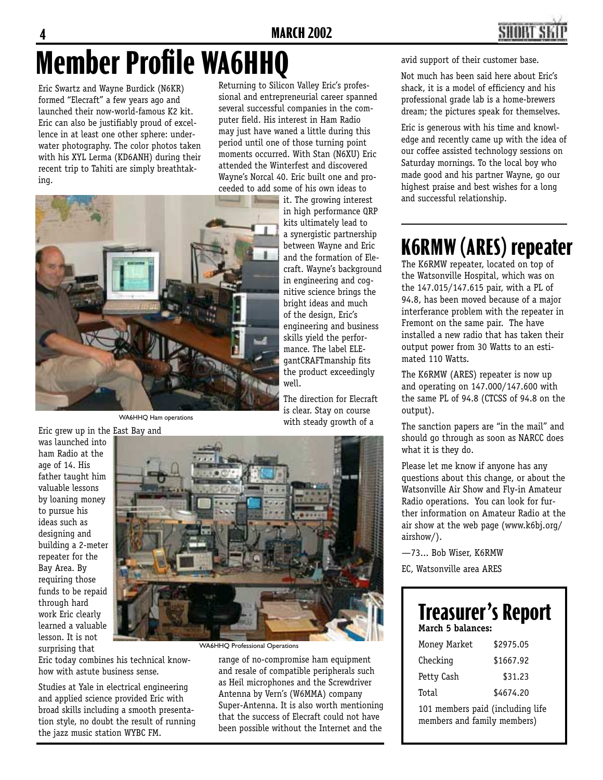

# **Member Profile WA6HHQ**

Eric Swartz and Wayne Burdick (N6KR) formed "Elecraft" a few years ago and launched their now-world-famous K2 kit. Eric can also be justifiably proud of excellence in at least one other sphere: underwater photography. The color photos taken with his XYL Lerma (KD6ANH) during their recent trip to Tahiti are simply breathtaking.

Returning to Silicon Valley Eric's professional and entrepreneurial career spanned several successful companies in the computer field. His interest in Ham Radio may just have waned a little during this period until one of those turning point moments occurred. With Stan (N6XU) Eric attended the Winterfest and discovered Wayne's Norcal 40. Eric built one and proceeded to add some of his own ideas to

the product exceedingly

with steady growth of a

well.



WA6HHQ Ham operations

Eric grew up in the East Bay and was launched into ham Radio at the age of 14. His father taught him valuable lessons by loaning money to pursue his ideas such as designing and building a 2-meter repeater for the Bay Area. By requiring those funds to be repaid through hard work Eric clearly learned a valuable lesson. It is not surprising that



Eric today combines his technical knowhow with astute business sense.

Studies at Yale in electrical engineering and applied science provided Eric with broad skills including a smooth presentation style, no doubt the result of running the jazz music station WYBC FM.

WA6HHQ Professional Operations

range of no-compromise ham equipment and resale of compatible peripherals such as Heil microphones and the Screwdriver Antenna by Vern's (W6MMA) company Super-Antenna. It is also worth mentioning that the success of Elecraft could not have been possible without the Internet and the

avid support of their customer base.

Not much has been said here about Eric's shack, it is a model of efficiency and his professional grade lab is a home-brewers dream; the pictures speak for themselves.

Eric is generous with his time and knowledge and recently came up with the idea of our coffee assisted technology sessions on Saturday mornings. To the local boy who made good and his partner Wayne, go our highest praise and best wishes for a long and successful relationship.

### **K6RMW (ARES) repeater**

The K6RMW repeater, located on top of the Watsonville Hospital, which was on the 147.015/147.615 pair, with a PL of 94.8, has been moved because of a major interferance problem with the repeater in Fremont on the same pair. The have installed a new radio that has taken their output power from 30 Watts to an estimated 110 Watts.

The K6RMW (ARES) repeater is now up and operating on 147.000/147.600 with the same PL of 94.8 (CTCSS of 94.8 on the output).

The sanction papers are "in the mail" and should go through as soon as NARCC does what it is they do.

Please let me know if anyone has any questions about this change, or about the Watsonville Air Show and Fly-in Amateur Radio operations. You can look for further information on Amateur Radio at the air show at the web page (www.k6bj.org/ airshow/).

—73... Bob Wiser, K6RMW

EC, Watsonville area ARES

#### **Treasurer's Report March 5 balances:**

| Money Market                 | \$2975.05 |
|------------------------------|-----------|
| Checking                     | \$1667.92 |
| Petty Cash                   | \$31.23   |
| Total                        | \$4674.20 |
| mambawa naid (inaluding 1:4, |           |

101 members paid (including life members and family members)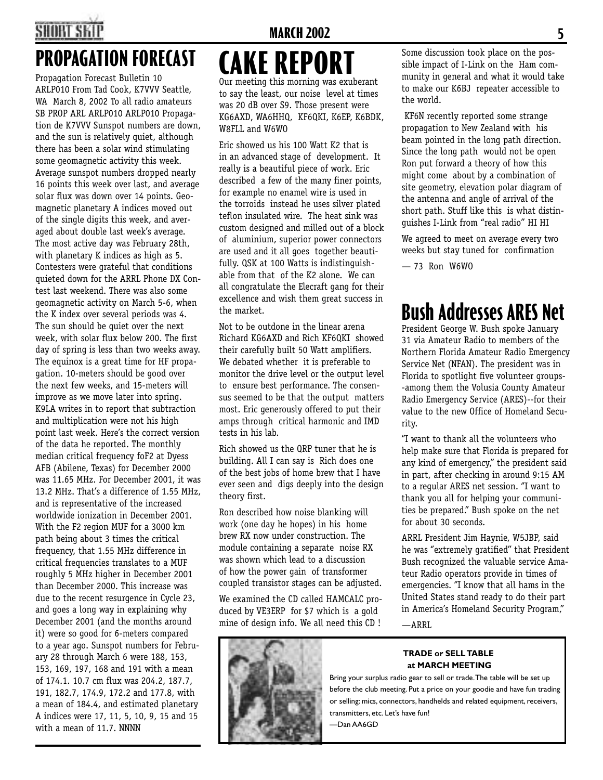## SHART SI

### **PROPAGATION FORECAST**

Propagation Forecast Bulletin 10 ARLP010 From Tad Cook, K7VVV Seattle, WA March 8, 2002 To all radio amateurs SB PROP ARL ARLP010 ARLP010 Propagation de K7VVV Sunspot numbers are down, and the sun is relatively quiet, although there has been a solar wind stimulating some geomagnetic activity this week. Average sunspot numbers dropped nearly 16 points this week over last, and average solar flux was down over 14 points. Geomagnetic planetary A indices moved out of the single digits this week, and averaged about double last week's average. The most active day was February 28th, with planetary K indices as high as 5. Contesters were grateful that conditions quieted down for the ARRL Phone DX Contest last weekend. There was also some geomagnetic activity on March 5-6, when the K index over several periods was 4. The sun should be quiet over the next week, with solar flux below 200. The first day of spring is less than two weeks away. The equinox is a great time for HF propagation. 10-meters should be good over the next few weeks, and 15-meters will improve as we move later into spring. K9LA writes in to report that subtraction and multiplication were not his high point last week. Here's the correct version of the data he reported. The monthly median critical frequency foF2 at Dyess AFB (Abilene, Texas) for December 2000 was 11.65 MHz. For December 2001, it was 13.2 MHz. That's a difference of 1.55 MHz, and is representative of the increased worldwide ionization in December 2001. With the F2 region MUF for a 3000 km path being about 3 times the critical frequency, that 1.55 MHz difference in critical frequencies translates to a MUF roughly 5 MHz higher in December 2001 than December 2000. This increase was due to the recent resurgence in Cycle 23, and goes a long way in explaining why December 2001 (and the months around it) were so good for 6-meters compared to a year ago. Sunspot numbers for February 28 through March 6 were 188, 153, 153, 169, 197, 168 and 191 with a mean of 174.1. 10.7 cm flux was 204.2, 187.7, 191, 182.7, 174.9, 172.2 and 177.8, with a mean of 184.4, and estimated planetary A indices were 17, 11, 5, 10, 9, 15 and 15 with a mean of 11.7. NNNN

#### **MARCH 2002 5**

### Our meeting this morning was exuberant **CAKE REPORT**

to say the least, our noise level at times was 20 dB over S9. Those present were KG6AXD, WA6HHQ, KF6QKI, K6EP, K6BDK, W8FLL and W6WO

Eric showed us his 100 Watt K2 that is in an advanced stage of development. It really is a beautiful piece of work. Eric described a few of the many finer points, for example no enamel wire is used in the torroids instead he uses silver plated teflon insulated wire. The heat sink was custom designed and milled out of a block of aluminium, superior power connectors are used and it all goes together beautifully. QSK at 100 Watts is indistinguishable from that of the K2 alone. We can all congratulate the Elecraft gang for their excellence and wish them great success in the market.

Not to be outdone in the linear arena Richard KG6AXD and Rich KF6QKI showed their carefully built 50 Watt amplifiers. We debated whether it is preferable to monitor the drive level or the output level to ensure best performance. The consensus seemed to be that the output matters most. Eric generously offered to put their amps through critical harmonic and IMD tests in his lab.

Rich showed us the QRP tuner that he is building. All I can say is Rich does one of the best jobs of home brew that I have ever seen and digs deeply into the design theory first.

Ron described how noise blanking will work (one day he hopes) in his home brew RX now under construction. The module containing a separate noise RX was shown which lead to a discussion of how the power gain of transformer coupled transistor stages can be adjusted.

We examined the CD called HAMCALC produced by VE3ERP for \$7 which is a gold mine of design info. We all need this CD !



Some discussion took place on the possible impact of I-Link on the Ham community in general and what it would take to make our K6BJ repeater accessible to the world.

 KF6N recently reported some strange propagation to New Zealand with his beam pointed in the long path direction. Since the long path would not be open Ron put forward a theory of how this might come about by a combination of site geometry, elevation polar diagram of the antenna and angle of arrival of the short path. Stuff like this is what distinguishes I-Link from "real radio" HI HI

We agreed to meet on average every two weeks but stay tuned for confirmation

 $-73$  Ron W6WO

### **Bush Addresses ARES Net**

President George W. Bush spoke January 31 via Amateur Radio to members of the Northern Florida Amateur Radio Emergency Service Net (NFAN). The president was in Florida to spotlight five volunteer groups- -among them the Volusia County Amateur Radio Emergency Service (ARES)--for their value to the new Office of Homeland Security.

''I want to thank all the volunteers who help make sure that Florida is prepared for any kind of emergency," the president said in part, after checking in around 9:15 AM to a regular ARES net session. ''I want to thank you all for helping your communities be prepared.'' Bush spoke on the net for about 30 seconds.

ARRL President Jim Haynie, W5JBP, said he was ''extremely gratified'' that President Bush recognized the valuable service Amateur Radio operators provide in times of emergencies. ''I know that all hams in the United States stand ready to do their part in America's Homeland Security Program,''

—ARRL

#### **TRADE or SELL TABLE at MARCH MEETING**



—Dan AA6GD